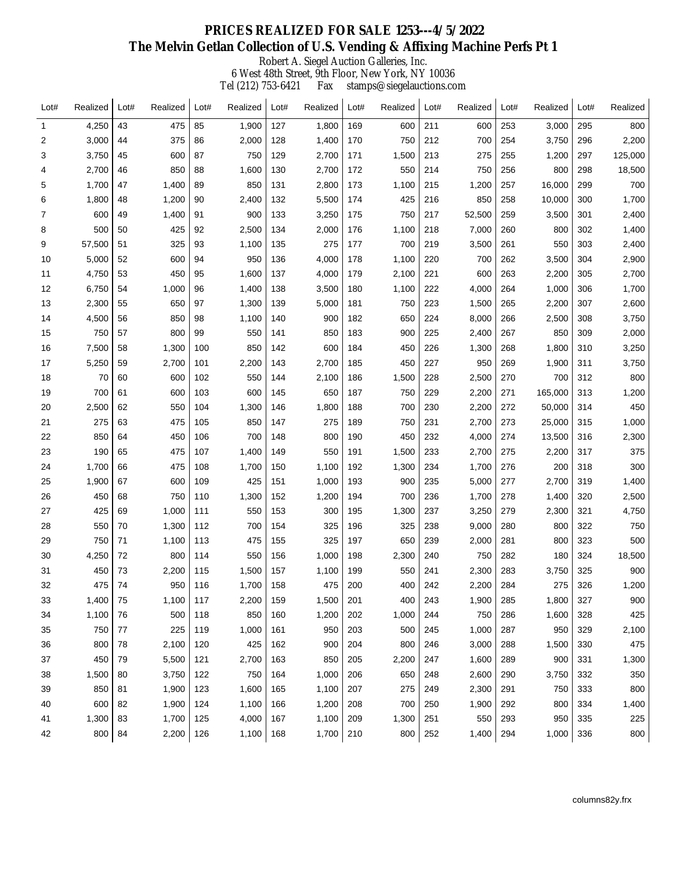## **PRICES REALIZED FOR SALE 1253---4/5/2022 The Melvin Getlan Collection of U.S. Vending & Affixing Machine Perfs Pt 1**

Robert A. Siegel Auction Galleries, Inc.

6 West 48th Street, 9th Floor, New York, NY 10036 Tel (212) 753-6421 Fax stamps@siegelauctions.com

| Lot#         | Realized | Lot# | Realized | Lot# | Realized | Lot# | Realized | Lot# | Realized | Lot# | Realized | Lot# | Realized | Lot# | Realized |
|--------------|----------|------|----------|------|----------|------|----------|------|----------|------|----------|------|----------|------|----------|
| $\mathbf{1}$ | 4,250    | 43   | 475      | 85   | 1,900    | 127  | 1,800    | 169  | 600      | 211  | 600      | 253  | 3,000    | 295  | 800      |
| 2            | 3,000    | 44   | 375      | 86   | 2,000    | 128  | 1,400    | 170  | 750      | 212  | 700      | 254  | 3,750    | 296  | 2,200    |
| 3            | 3,750    | 45   | 600      | 87   | 750      | 129  | 2,700    | 171  | 1,500    | 213  | 275      | 255  | 1,200    | 297  | 125,000  |
| 4            | 2,700    | 46   | 850      | 88   | 1,600    | 130  | 2,700    | 172  | 550      | 214  | 750      | 256  | 800      | 298  | 18,500   |
| 5            | 1,700    | 47   | 1,400    | 89   | 850      | 131  | 2,800    | 173  | 1,100    | 215  | 1,200    | 257  | 16,000   | 299  | 700      |
| 6            | 1,800    | 48   | 1,200    | 90   | 2,400    | 132  | 5,500    | 174  | 425      | 216  | 850      | 258  | 10,000   | 300  | 1,700    |
| 7            | 600      | 49   | 1,400    | 91   | 900      | 133  | 3,250    | 175  | 750      | 217  | 52,500   | 259  | 3,500    | 301  | 2,400    |
| 8            | 500      | 50   | 425      | 92   | 2,500    | 134  | 2,000    | 176  | 1,100    | 218  | 7,000    | 260  | 800      | 302  | 1,400    |
| 9            | 57,500   | 51   | 325      | 93   | 1,100    | 135  | 275      | 177  | 700      | 219  | 3,500    | 261  | 550      | 303  | 2,400    |
| 10           | 5,000    | 52   | 600      | 94   | 950      | 136  | 4,000    | 178  | 1,100    | 220  | 700      | 262  | 3,500    | 304  | 2,900    |
| 11           | 4,750    | 53   | 450      | 95   | 1,600    | 137  | 4,000    | 179  | 2,100    | 221  | 600      | 263  | 2,200    | 305  | 2,700    |
| 12           | 6,750    | 54   | 1,000    | 96   | 1,400    | 138  | 3,500    | 180  | 1,100    | 222  | 4,000    | 264  | 1,000    | 306  | 1,700    |
| 13           | 2,300    | 55   | 650      | 97   | 1,300    | 139  | 5,000    | 181  | 750      | 223  | 1,500    | 265  | 2,200    | 307  | 2,600    |
| 14           | 4,500    | 56   | 850      | 98   | 1,100    | 140  | 900      | 182  | 650      | 224  | 8,000    | 266  | 2,500    | 308  | 3,750    |
| 15           | 750      | 57   | 800      | 99   | 550      | 141  | 850      | 183  | 900      | 225  | 2,400    | 267  | 850      | 309  | 2,000    |
| 16           | 7,500    | 58   | 1,300    | 100  | 850      | 142  | 600      | 184  | 450      | 226  | 1,300    | 268  | 1,800    | 310  | 3,250    |
| 17           | 5,250    | 59   | 2,700    | 101  | 2,200    | 143  | 2,700    | 185  | 450      | 227  | 950      | 269  | 1,900    | 311  | 3,750    |
| 18           | 70       | 60   | 600      | 102  | 550      | 144  | 2,100    | 186  | 1,500    | 228  | 2,500    | 270  | 700      | 312  | 800      |
| 19           | 700      | 61   | 600      | 103  | 600      | 145  | 650      | 187  | 750      | 229  | 2,200    | 271  | 165,000  | 313  | 1,200    |
| 20           | 2,500    | 62   | 550      | 104  | 1,300    | 146  | 1,800    | 188  | 700      | 230  | 2,200    | 272  | 50,000   | 314  | 450      |
| 21           | 275      | 63   | 475      | 105  | 850      | 147  | 275      | 189  | 750      | 231  | 2,700    | 273  | 25,000   | 315  | 1,000    |
| 22           | 850      | 64   | 450      | 106  | 700      | 148  | 800      | 190  | 450      | 232  | 4,000    | 274  | 13,500   | 316  | 2,300    |
| 23           | 190      | 65   | 475      | 107  | 1,400    | 149  | 550      | 191  | 1,500    | 233  | 2,700    | 275  | 2,200    | 317  | 375      |
| 24           | 1,700    | 66   | 475      | 108  | 1,700    | 150  | 1,100    | 192  | 1,300    | 234  | 1,700    | 276  | 200      | 318  | 300      |
| 25           | 1,900    | 67   | 600      | 109  | 425      | 151  | 1,000    | 193  | 900      | 235  | 5,000    | 277  | 2,700    | 319  | 1,400    |
| 26           | 450      | 68   | 750      | 110  | 1,300    | 152  | 1,200    | 194  | 700      | 236  | 1,700    | 278  | 1,400    | 320  | 2,500    |
| 27           | 425      | 69   | 1,000    | 111  | 550      | 153  | 300      | 195  | 1,300    | 237  | 3,250    | 279  | 2,300    | 321  | 4,750    |
| 28           | 550      | 70   | 1,300    | 112  | 700      | 154  | 325      | 196  | 325      | 238  | 9,000    | 280  | 800      | 322  | 750      |
| 29           | 750      | 71   | 1,100    | 113  | 475      | 155  | 325      | 197  | 650      | 239  | 2,000    | 281  | 800      | 323  | 500      |
| 30           | 4,250    | 72   | 800      | 114  | 550      | 156  | 1,000    | 198  | 2,300    | 240  | 750      | 282  | 180      | 324  | 18,500   |
| 31           | 450      | 73   | 2,200    | 115  | 1,500    | 157  | 1,100    | 199  | 550      | 241  | 2,300    | 283  | 3,750    | 325  | 900      |
| 32           | 475      | 74   | 950      | 116  | 1,700    | 158  | 475      | 200  | 400      | 242  | 2,200    | 284  | 275      | 326  | 1,200    |
| 33           | 1,400    | 75   | 1,100    | 117  | 2,200    | 159  | 1,500    | 201  | 400      | 243  | 1,900    | 285  | 1,800    | 327  | 900      |
| 34           | 1,100    | 76   | 500      | 118  | 850      | 160  | 1,200    | 202  | 1,000    | 244  | 750      | 286  | 1,600    | 328  | 425      |
| 35           | 750      | 77   | 225      | 119  | 1,000    | 161  | 950      | 203  | 500      | 245  | 1,000    | 287  | 950      | 329  | 2,100    |
| 36           | 800      | 78   | 2,100    | 120  | 425      | 162  | 900      | 204  | 800      | 246  | 3,000    | 288  | 1,500    | 330  | 475      |
| 37           | 450      | 79   | 5,500    | 121  | 2,700    | 163  | 850      | 205  | 2,200    | 247  | 1,600    | 289  | 900      | 331  | 1,300    |
| 38           | 1,500    | 80   | 3,750    | 122  | 750      | 164  | 1,000    | 206  | 650      | 248  | 2,600    | 290  | 3,750    | 332  | 350      |
| 39           | 850      | 81   | 1,900    | 123  | 1,600    | 165  | 1,100    | 207  | 275      | 249  | 2,300    | 291  | 750      | 333  | 800      |
| 40           | 600      | 82   | 1,900    | 124  | 1,100    | 166  | 1,200    | 208  | 700      | 250  | 1,900    | 292  | 800      | 334  | 1,400    |
| 41           | 1,300    | 83   | 1,700    | 125  | 4,000    | 167  | 1,100    | 209  | 1,300    | 251  | 550      | 293  | 950      | 335  | 225      |
| 42           | 800      | 84   | 2,200    | 126  | 1,100    | 168  | 1,700    | 210  | 800      | 252  | 1,400    | 294  | 1,000    | 336  | 800      |